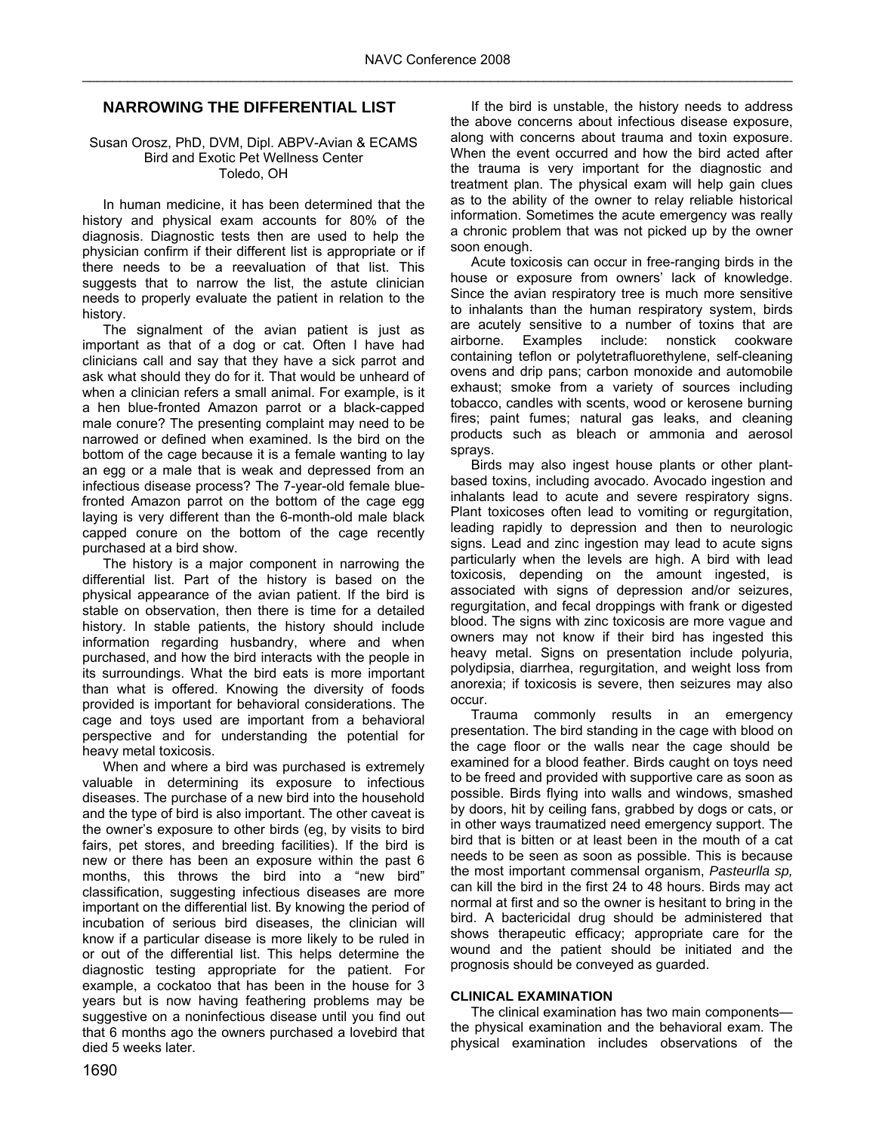# **NARROWING THE DIFFERENTIAL LIST**

#### Susan Orosz, PhD, DVM, Dipl. ABPV-Avian & ECAMS Bird and Exotic Pet Wellness Center Toledo, OH

In human medicine, it has been determined that the history and physical exam accounts for 80% of the diagnosis. Diagnostic tests then are used to help the physician confirm if their different list is appropriate or if there needs to be a reevaluation of that list. This suggests that to narrow the list, the astute clinician needs to properly evaluate the patient in relation to the history.

The signalment of the avian patient is just as important as that of a dog or cat. Often I have had clinicians call and say that they have a sick parrot and ask what should they do for it. That would be unheard of when a clinician refers a small animal. For example, is it a hen blue-fronted Amazon parrot or a black-capped male conure? The presenting complaint may need to be narrowed or defined when examined. Is the bird on the bottom of the cage because it is a female wanting to lay an egg or a male that is weak and depressed from an infectious disease process? The 7-year-old female bluefronted Amazon parrot on the bottom of the cage egg laying is very different than the 6-month-old male black capped conure on the bottom of the cage recently purchased at a bird show.

The history is a major component in narrowing the differential list. Part of the history is based on the physical appearance of the avian patient. If the bird is stable on observation, then there is time for a detailed history. In stable patients, the history should include information regarding husbandry, where and when purchased, and how the bird interacts with the people in its surroundings. What the bird eats is more important than what is offered. Knowing the diversity of foods provided is important for behavioral considerations. The cage and toys used are important from a behavioral perspective and for understanding the potential for heavy metal toxicosis.

When and where a bird was purchased is extremely valuable in determining its exposure to infectious diseases. The purchase of a new bird into the household and the type of bird is also important. The other caveat is the owner's exposure to other birds (eg, by visits to bird fairs, pet stores, and breeding facilities). If the bird is new or there has been an exposure within the past 6 months, this throws the bird into a "new bird" classification, suggesting infectious diseases are more important on the differential list. By knowing the period of incubation of serious bird diseases, the clinician will know if a particular disease is more likely to be ruled in or out of the differential list. This helps determine the diagnostic testing appropriate for the patient. For example, a cockatoo that has been in the house for 3 years but is now having feathering problems may be suggestive on a noninfectious disease until you find out that 6 months ago the owners purchased a lovebird that died 5 weeks later.

If the bird is unstable, the history needs to address the above concerns about infectious disease exposure, along with concerns about trauma and toxin exposure. When the event occurred and how the bird acted after the trauma is very important for the diagnostic and treatment plan. The physical exam will help gain clues as to the ability of the owner to relay reliable historical information. Sometimes the acute emergency was really a chronic problem that was not picked up by the owner soon enough.

Acute toxicosis can occur in free-ranging birds in the house or exposure from owners' lack of knowledge. Since the avian respiratory tree is much more sensitive to inhalants than the human respiratory system, birds are acutely sensitive to a number of toxins that are airborne. Examples include: nonstick cookware containing teflon or polytetrafluorethylene, self-cleaning ovens and drip pans; carbon monoxide and automobile exhaust; smoke from a variety of sources including tobacco, candles with scents, wood or kerosene burning fires; paint fumes; natural gas leaks, and cleaning products such as bleach or ammonia and aerosol sprays.

Birds may also ingest house plants or other plantbased toxins, including avocado. Avocado ingestion and inhalants lead to acute and severe respiratory signs. Plant toxicoses often lead to vomiting or regurgitation, leading rapidly to depression and then to neurologic signs. Lead and zinc ingestion may lead to acute signs particularly when the levels are high. A bird with lead toxicosis, depending on the amount ingested, is associated with signs of depression and/or seizures, regurgitation, and fecal droppings with frank or digested blood. The signs with zinc toxicosis are more vague and owners may not know if their bird has ingested this heavy metal. Signs on presentation include polyuria, polydipsia, diarrhea, regurgitation, and weight loss from anorexia; if toxicosis is severe, then seizures may also occur.

Trauma commonly results in an emergency presentation. The bird standing in the cage with blood on the cage floor or the walls near the cage should be examined for a blood feather. Birds caught on toys need to be freed and provided with supportive care as soon as possible. Birds flying into walls and windows, smashed by doors, hit by ceiling fans, grabbed by dogs or cats, or in other ways traumatized need emergency support. The bird that is bitten or at least been in the mouth of a cat needs to be seen as soon as possible. This is because the most important commensal organism, *Pasteurlla sp,* can kill the bird in the first 24 to 48 hours. Birds may act normal at first and so the owner is hesitant to bring in the bird. A bactericidal drug should be administered that shows therapeutic efficacy; appropriate care for the wound and the patient should be initiated and the prognosis should be conveyed as guarded.

# **CLINICAL EXAMINATION**

The clinical examination has two main components the physical examination and the behavioral exam. The physical examination includes observations of the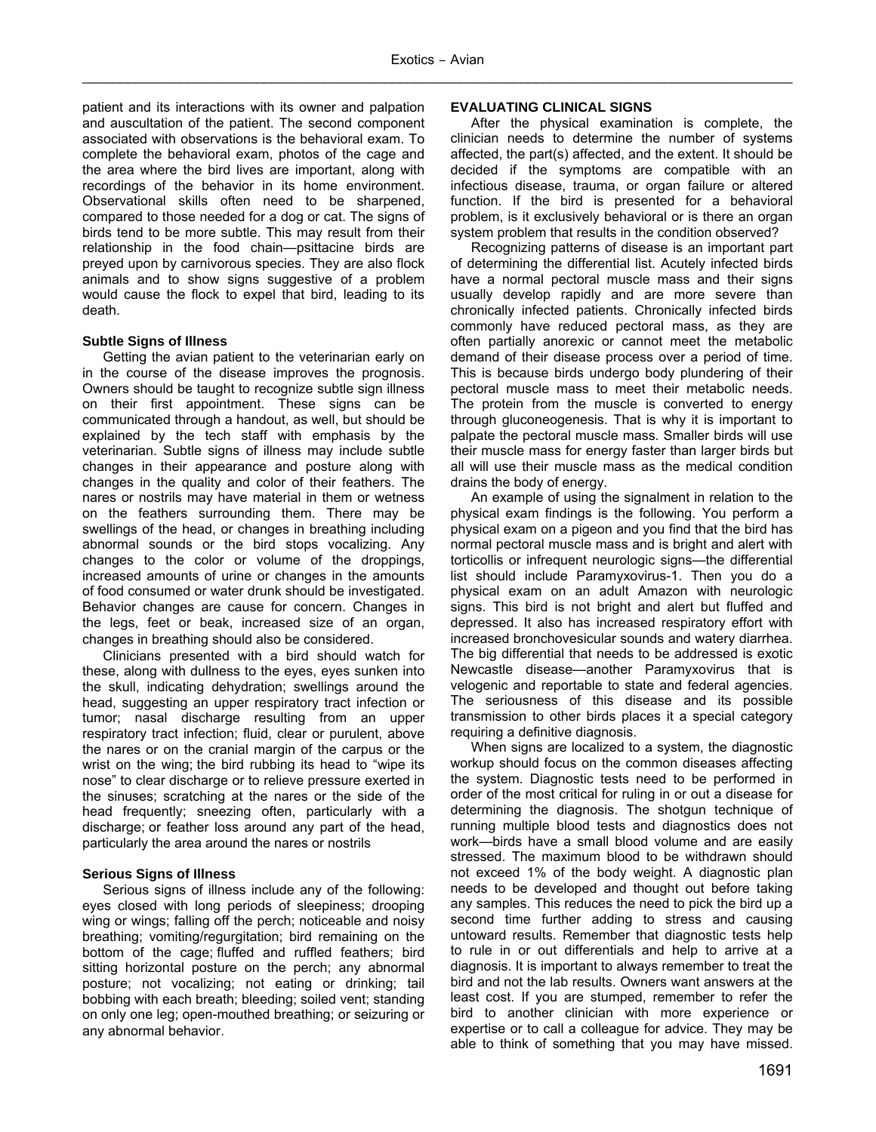patient and its interactions with its owner and palpation and auscultation of the patient. The second component associated with observations is the behavioral exam. To complete the behavioral exam, photos of the cage and the area where the bird lives are important, along with recordings of the behavior in its home environment. Observational skills often need to be sharpened, compared to those needed for a dog or cat. The signs of birds tend to be more subtle. This may result from their relationship in the food chain—psittacine birds are preyed upon by carnivorous species. They are also flock animals and to show signs suggestive of a problem would cause the flock to expel that bird, leading to its death.

# **Subtle Signs of Illness**

Getting the avian patient to the veterinarian early on in the course of the disease improves the prognosis. Owners should be taught to recognize subtle sign illness on their first appointment. These signs can be communicated through a handout, as well, but should be explained by the tech staff with emphasis by the veterinarian. Subtle signs of illness may include subtle changes in their appearance and posture along with changes in the quality and color of their feathers. The nares or nostrils may have material in them or wetness on the feathers surrounding them. There may be swellings of the head, or changes in breathing including abnormal sounds or the bird stops vocalizing. Any changes to the color or volume of the droppings, increased amounts of urine or changes in the amounts of food consumed or water drunk should be investigated. Behavior changes are cause for concern. Changes in the legs, feet or beak, increased size of an organ, changes in breathing should also be considered.

Clinicians presented with a bird should watch for these, along with dullness to the eyes, eyes sunken into the skull, indicating dehydration; swellings around the head, suggesting an upper respiratory tract infection or tumor; nasal discharge resulting from an upper respiratory tract infection; fluid, clear or purulent, above the nares or on the cranial margin of the carpus or the wrist on the wing; the bird rubbing its head to "wipe its nose" to clear discharge or to relieve pressure exerted in the sinuses; scratching at the nares or the side of the head frequently; sneezing often, particularly with a discharge; or feather loss around any part of the head, particularly the area around the nares or nostrils

# **Serious Signs of Illness**

Serious signs of illness include any of the following: eyes closed with long periods of sleepiness; drooping wing or wings; falling off the perch; noticeable and noisy breathing; vomiting/regurgitation; bird remaining on the bottom of the cage; fluffed and ruffled feathers; bird sitting horizontal posture on the perch; any abnormal posture; not vocalizing; not eating or drinking; tail bobbing with each breath; bleeding; soiled vent; standing on only one leg; open-mouthed breathing; or seizuring or any abnormal behavior.

# **EVALUATING CLINICAL SIGNS**

After the physical examination is complete, the clinician needs to determine the number of systems affected, the part(s) affected, and the extent. It should be decided if the symptoms are compatible with an infectious disease, trauma, or organ failure or altered function. If the bird is presented for a behavioral problem, is it exclusively behavioral or is there an organ system problem that results in the condition observed?

Recognizing patterns of disease is an important part of determining the differential list. Acutely infected birds have a normal pectoral muscle mass and their signs usually develop rapidly and are more severe than chronically infected patients. Chronically infected birds commonly have reduced pectoral mass, as they are often partially anorexic or cannot meet the metabolic demand of their disease process over a period of time. This is because birds undergo body plundering of their pectoral muscle mass to meet their metabolic needs. The protein from the muscle is converted to energy through gluconeogenesis. That is why it is important to palpate the pectoral muscle mass. Smaller birds will use their muscle mass for energy faster than larger birds but all will use their muscle mass as the medical condition drains the body of energy.

An example of using the signalment in relation to the physical exam findings is the following. You perform a physical exam on a pigeon and you find that the bird has normal pectoral muscle mass and is bright and alert with torticollis or infrequent neurologic signs—the differential list should include Paramyxovirus-1. Then you do a physical exam on an adult Amazon with neurologic signs. This bird is not bright and alert but fluffed and depressed. It also has increased respiratory effort with increased bronchovesicular sounds and watery diarrhea. The big differential that needs to be addressed is exotic Newcastle disease—another Paramyxovirus that is velogenic and reportable to state and federal agencies. The seriousness of this disease and its possible transmission to other birds places it a special category requiring a definitive diagnosis.

When signs are localized to a system, the diagnostic workup should focus on the common diseases affecting the system. Diagnostic tests need to be performed in order of the most critical for ruling in or out a disease for determining the diagnosis. The shotgun technique of running multiple blood tests and diagnostics does not work—birds have a small blood volume and are easily stressed. The maximum blood to be withdrawn should not exceed 1% of the body weight. A diagnostic plan needs to be developed and thought out before taking any samples. This reduces the need to pick the bird up a second time further adding to stress and causing untoward results. Remember that diagnostic tests help to rule in or out differentials and help to arrive at a diagnosis. It is important to always remember to treat the bird and not the lab results. Owners want answers at the least cost. If you are stumped, remember to refer the bird to another clinician with more experience or expertise or to call a colleague for advice. They may be able to think of something that you may have missed.